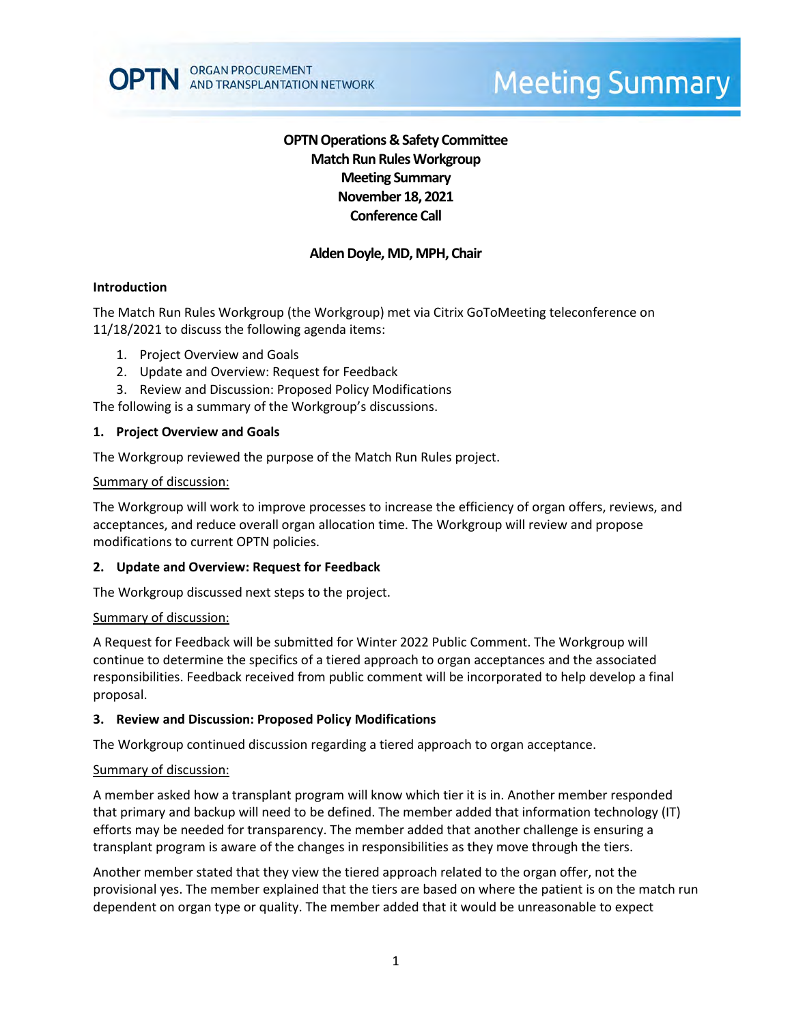# **Meeting Summary**

# **OPTN Operations & Safety Committee Match Run RulesWorkgroup Meeting Summary November 18, 2021 Conference Call**

# **Alden Doyle, MD, MPH, Chair**

### **Introduction**

The Match Run Rules Workgroup (the Workgroup) met via Citrix GoToMeeting teleconference on 11/18/2021 to discuss the following agenda items:

- 1. Project Overview and Goals
- 2. Update and Overview: Request for Feedback
- 3. Review and Discussion: Proposed Policy Modifications

The following is a summary of the Workgroup's discussions.

#### **1. Project Overview and Goals**

The Workgroup reviewed the purpose of the Match Run Rules project.

#### Summary of discussion:

The Workgroup will work to improve processes to increase the efficiency of organ offers, reviews, and acceptances, and reduce overall organ allocation time. The Workgroup will review and propose modifications to current OPTN policies.

#### **2. Update and Overview: Request for Feedback**

The Workgroup discussed next steps to the project.

#### Summary of discussion:

A Request for Feedback will be submitted for Winter 2022 Public Comment. The Workgroup will continue to determine the specifics of a tiered approach to organ acceptances and the associated responsibilities. Feedback received from public comment will be incorporated to help develop a final proposal.

## **3. Review and Discussion: Proposed Policy Modifications**

The Workgroup continued discussion regarding a tiered approach to organ acceptance.

#### Summary of discussion:

A member asked how a transplant program will know which tier it is in. Another member responded that primary and backup will need to be defined. The member added that information technology (IT) efforts may be needed for transparency. The member added that another challenge is ensuring a transplant program is aware of the changes in responsibilities as they move through the tiers.

Another member stated that they view the tiered approach related to the organ offer, not the provisional yes. The member explained that the tiers are based on where the patient is on the match run dependent on organ type or quality. The member added that it would be unreasonable to expect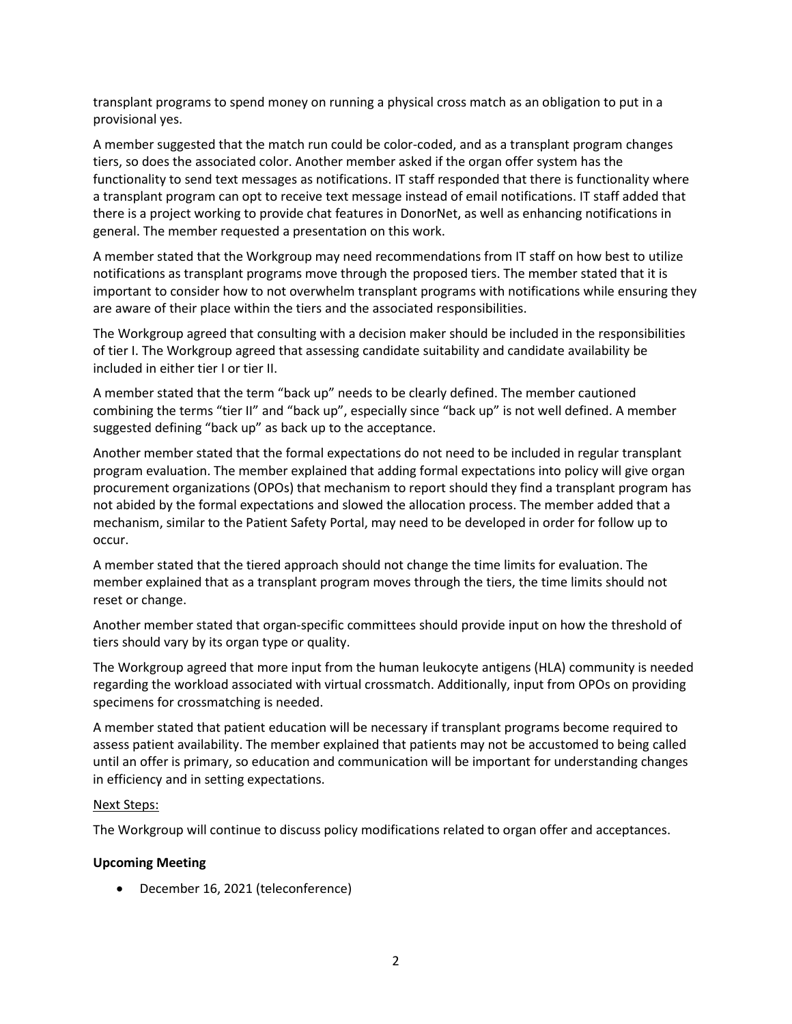transplant programs to spend money on running a physical cross match as an obligation to put in a provisional yes.

A member suggested that the match run could be color-coded, and as a transplant program changes tiers, so does the associated color. Another member asked if the organ offer system has the functionality to send text messages as notifications. IT staff responded that there is functionality where a transplant program can opt to receive text message instead of email notifications. IT staff added that there is a project working to provide chat features in DonorNet, as well as enhancing notifications in general. The member requested a presentation on this work.

A member stated that the Workgroup may need recommendations from IT staff on how best to utilize notifications as transplant programs move through the proposed tiers. The member stated that it is important to consider how to not overwhelm transplant programs with notifications while ensuring they are aware of their place within the tiers and the associated responsibilities.

The Workgroup agreed that consulting with a decision maker should be included in the responsibilities of tier I. The Workgroup agreed that assessing candidate suitability and candidate availability be included in either tier I or tier II.

A member stated that the term "back up" needs to be clearly defined. The member cautioned combining the terms "tier II" and "back up", especially since "back up" is not well defined. A member suggested defining "back up" as back up to the acceptance.

Another member stated that the formal expectations do not need to be included in regular transplant program evaluation. The member explained that adding formal expectations into policy will give organ procurement organizations (OPOs) that mechanism to report should they find a transplant program has not abided by the formal expectations and slowed the allocation process. The member added that a mechanism, similar to the Patient Safety Portal, may need to be developed in order for follow up to occur.

A member stated that the tiered approach should not change the time limits for evaluation. The member explained that as a transplant program moves through the tiers, the time limits should not reset or change.

Another member stated that organ-specific committees should provide input on how the threshold of tiers should vary by its organ type or quality.

The Workgroup agreed that more input from the human leukocyte antigens (HLA) community is needed regarding the workload associated with virtual crossmatch. Additionally, input from OPOs on providing specimens for crossmatching is needed.

A member stated that patient education will be necessary if transplant programs become required to assess patient availability. The member explained that patients may not be accustomed to being called until an offer is primary, so education and communication will be important for understanding changes in efficiency and in setting expectations.

## Next Steps:

The Workgroup will continue to discuss policy modifications related to organ offer and acceptances.

## **Upcoming Meeting**

• December 16, 2021 (teleconference)